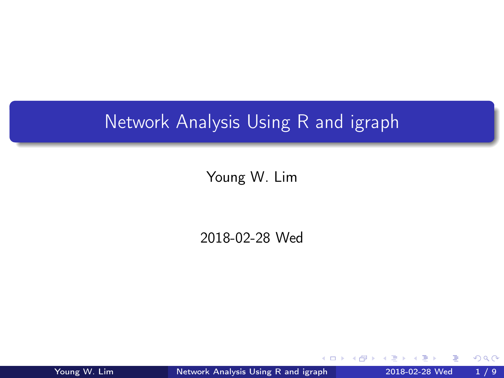# <span id="page-0-0"></span>Network Analysis Using R and igraph

### Young W. Lim

#### 2018-02-28 Wed

Young W. Lim [Network Analysis Using R and igraph](#page-8-0) 2018-02-28 Wed 1/9

4 D F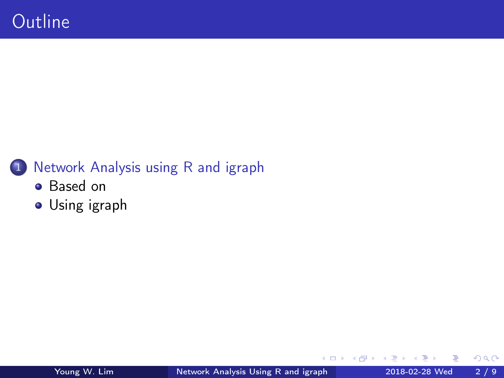# 1 [Network Analysis using R and igraph](#page-2-0)

- **•** [Based on](#page-2-0)
- [Using igraph](#page-3-0)

4 **D** F

向 D. э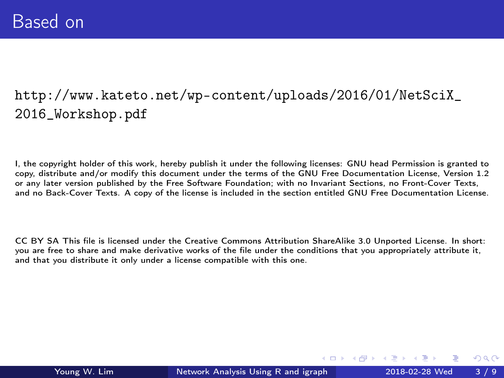## <span id="page-2-0"></span>[http://www.kateto.net/wp-content/uploads/2016/01/NetSciX\\_](http://www.kateto.net/wp-content/uploads/2016/01/NetSciX_2016_Workshop.pdf) [2016\\_Workshop.pdf](http://www.kateto.net/wp-content/uploads/2016/01/NetSciX_2016_Workshop.pdf)

I, the copyright holder of this work, hereby publish it under the following licenses: GNU head Permission is granted to copy, distribute and/or modify this document under the terms of the GNU Free Documentation License, Version 1.2 or any later version published by the Free Software Foundation; with no Invariant Sections, no Front-Cover Texts, and no Back-Cover Texts. A copy of the license is included in the section entitled GNU Free Documentation License.

CC BY SA This file is licensed under the Creative Commons Attribution ShareAlike 3.0 Unported License. In short: you are free to share and make derivative works of the file under the conditions that you appropriately attribute it, and that you distribute it only under a license compatible with this one.

( □ ) ( n ) ( ∃

 $\Omega$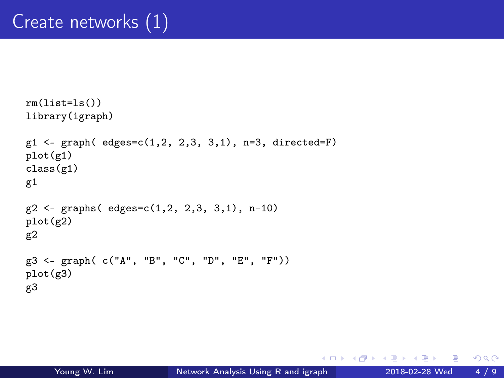```
rm(list=ls())library(igraph)
g1 \leftarrow graph( edges=c(1, 2, 2, 3, 3, 1), n=3, directed=F)plot(g1)
class(g1)
g1g2 <- graphs( edges=c(1,2, 2,3, 3,1), n-10)
plot(g2)
g2
g3 <- graph( c("A", "B", "C", "D", "E", "F"))
plot(g3)
g3
```
 $\left\{ \left\{ \bigoplus \lambda \in \mathbb{R}^n \right\} \right.$   $\left\{ \left\{ \bigoplus \lambda \in \mathbb{R}^n \right\} \right\}$ 

 $\leftarrow$   $\Box$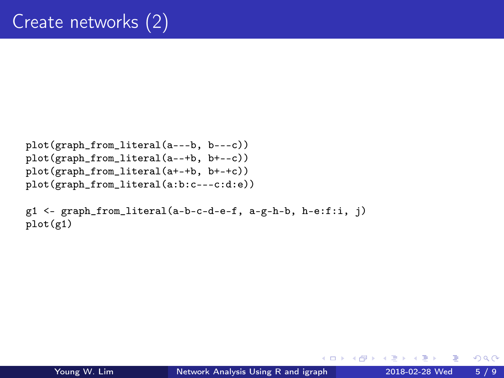```
plot(graph_from_literal(a---b, b---c))
plot(graph_from_literal(a--+b, b+--c))
plot(graph_from_literal(a+-+b, b+-+c))
plot(graph_from_literal(a:b:c---c:d:e))
```

```
g1 <- graph_from_literal(a-b-c-d-e-f, a-g-h-b, h-e:f:i, j)
plot(g1)
```
4 **D** F

 $QQQ$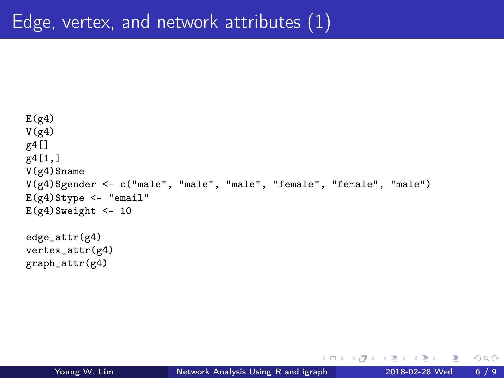```
E(g4)V(g4)g4[]
g4[1,]
V(g4)$name
V(g4)$gender <- c("male", "male", "male", "female", "female", "male")
E(g4)$type <- "email"
E(g4)$weight <- 10
edge_attr(g4)
vertex_attr(g4)
graph_attr(g4)
```
4 D F

 $\left\{ \left\{ \bigoplus \lambda \in \mathbb{R}^n \right\} \right.$   $\left\{ \left\{ \bigoplus \lambda \in \mathbb{R}^n \right\} \right\}$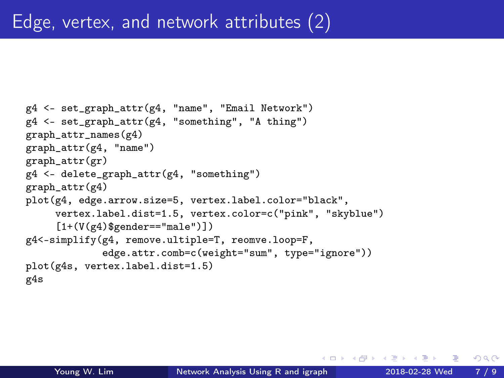```
g4 <- set_graph_attr(g4, "name", "Email Network")
g4 <- set_graph_attr(g4, "something", "A thing")
graph_attr_names(g4)
graph_attr(g4, "name")
graph_attr(gr)
g4 <- delete_graph_attr(g4, "something")
graph attr(g4)plot(g4, edge.arrow.size=5, vertex.label.color="black",
     vertex.label.dist=1.5, vertex.color=c("pink", "skyblue")
     [1+(V(g4)$gender=="male")])
g4<-simplify(g4, remove.ultiple=T, reomve.loop=F,
             edge.attr.comb=c(weight="sum", type="ignore"))
plot(g4s, vertex.label.dist=1.5)
g4s
```
 $QQQ$ 

( ロ ) ( 何 ) ( ヨ ) ( ヨ )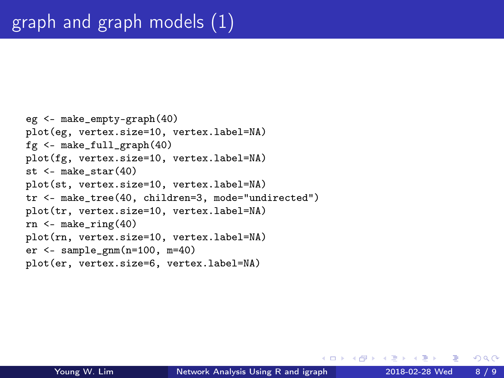```
eg <- make_empty-graph(40)
plot(eg, vertex.size=10, vertex.label=NA)
fg <- make_full_graph(40)
plot(fg, vertex.size=10, vertex.label=NA)
st <- make_star(40)
plot(st, vertex.size=10, vertex.label=NA)
tr <- make_tree(40, children=3, mode="undirected")
plot(tr, vertex.size=10, vertex.label=NA)
rn <- make_ring(40)
plot(rn, vertex.size=10, vertex.label=NA)
er \leq sample_gnm(n=100, m=40)
plot(er, vertex.size=6, vertex.label=NA)
```
4 **D** F

 $QQQ$